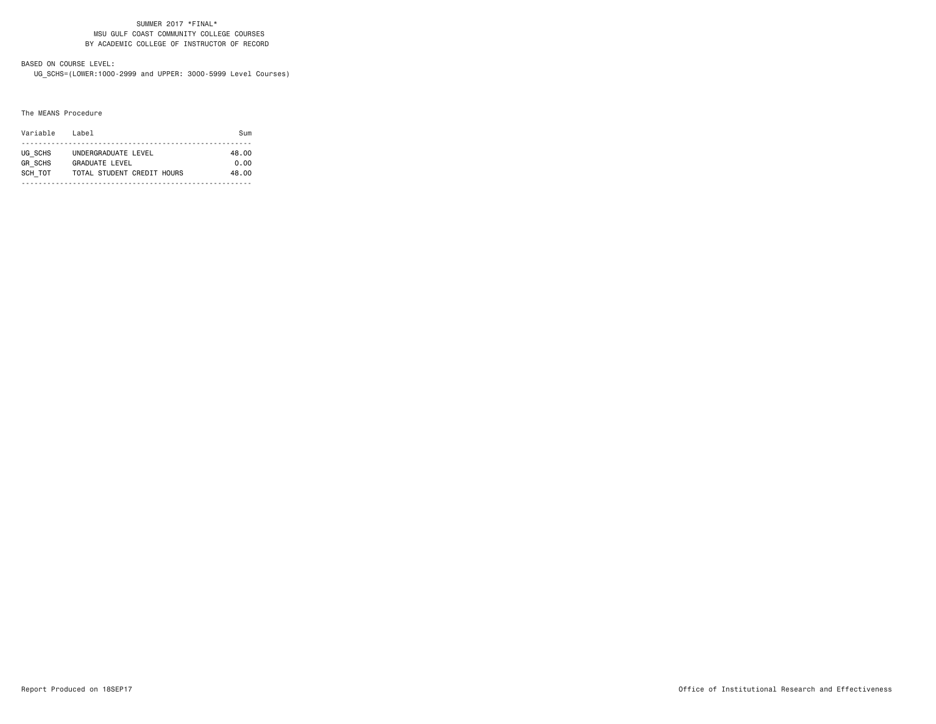#### SUMMER 2017 \*FINAL\* MSU GULF COAST COMMUNITY COLLEGE COURSES BY ACADEMIC COLLEGE OF INSTRUCTOR OF RECORD

# BASED ON COURSE LEVEL:

UG\_SCHS=(LOWER:1000-2999 and UPPER: 3000-5999 Level Courses)

#### The MEANS Procedure

| Variable       | Label                      | Sum   |
|----------------|----------------------------|-------|
| UG SCHS        | UNDERGRADUATE LEVEL        | 48.00 |
| <b>GR SCHS</b> | GRADUATE LEVEL             | 0.00  |
| SCH TOT        | TOTAL STUDENT CREDIT HOURS | 48.00 |
|                |                            |       |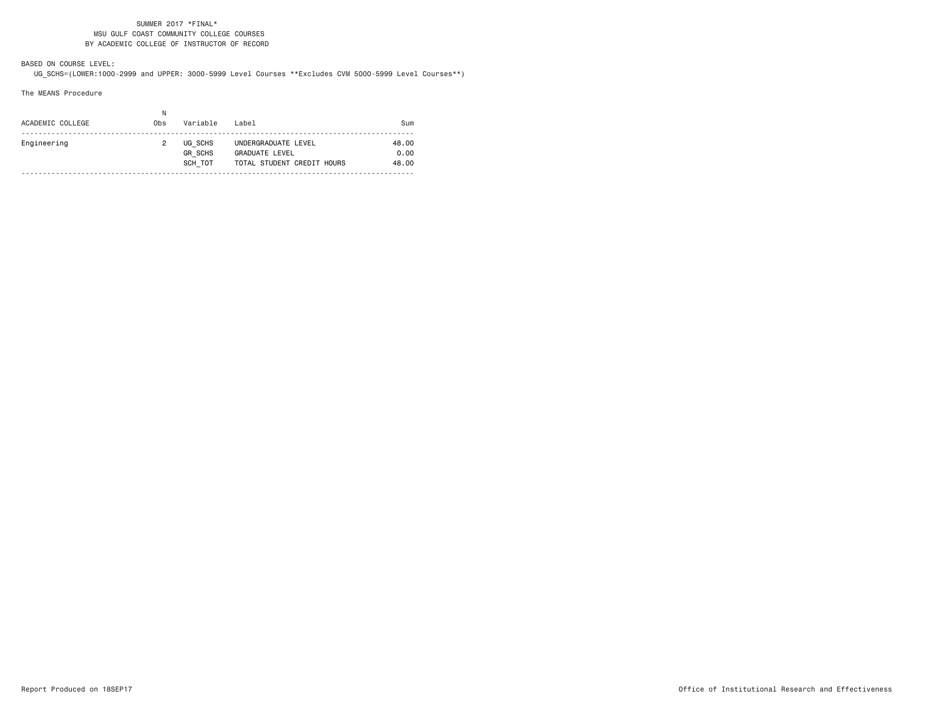### SUMMER 2017 \*FINAL\* MSU GULF COAST COMMUNITY COLLEGE COURSES BY ACADEMIC COLLEGE OF INSTRUCTOR OF RECORD

BASED ON COURSE LEVEL:UG\_SCHS=(LOWER:1000-2999 and UPPER: 3000-5999 Level Courses \*\*Excludes CVM 5000-5999 Level Courses\*\*)

The MEANS Procedure

| ACADEMIC COLLEGE | Ν<br>Obs | Variable                             | Label                                                                      | Sum                    |
|------------------|----------|--------------------------------------|----------------------------------------------------------------------------|------------------------|
| Engineering      |          | UG SCHS<br><b>GR SCHS</b><br>SCH TOT | UNDERGRADUATE LEVEL<br><b>GRADUATE LEVEL</b><br>TOTAL STUDENT CREDIT HOURS | 48.00<br>0.00<br>48.00 |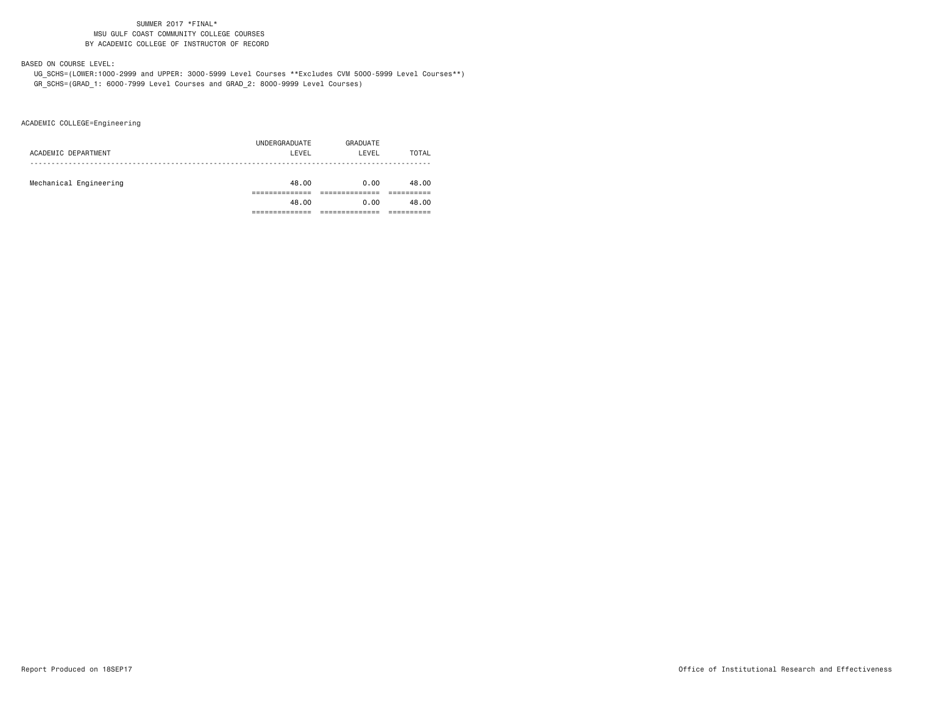### SUMMER 2017 \*FINAL\* MSU GULF COAST COMMUNITY COLLEGE COURSESBY ACADEMIC COLLEGE OF INSTRUCTOR OF RECORD

### BASED ON COURSE LEVEL:

 UG\_SCHS=(LOWER:1000-2999 and UPPER: 3000-5999 Level Courses \*\*Excludes CVM 5000-5999 Level Courses\*\*) GR\_SCHS=(GRAD\_1: 6000-7999 Level Courses and GRAD\_2: 8000-9999 Level Courses)

ACADEMIC COLLEGE=Engineering

| ACADEMIC DEPARTMENT    | UNDERGRADUATE<br>LEVEL | GRADUATE<br>LEVEL | TOTAL |
|------------------------|------------------------|-------------------|-------|
| Mechanical Engineering | 48.00                  | 0.00              | 48.00 |
|                        | 48.00                  | 0.00              | 48.00 |